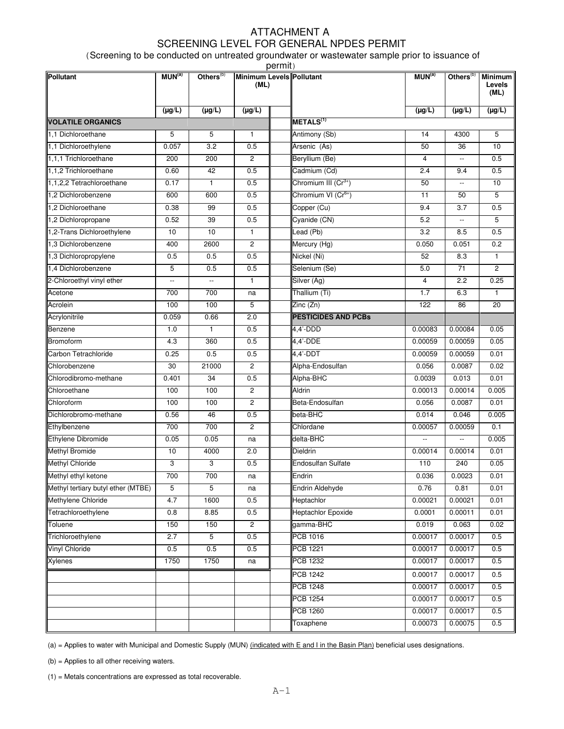## ATTACHMENT A SCREENING LEVEL FOR GENERAL NPDES PERMIT

(Screening to be conducted on untreated groundwater or wastewater sample prior to issuance of

| permit)                            |                          |                          |                                  |  |                                 |                    |                          |                                  |  |  |  |  |
|------------------------------------|--------------------------|--------------------------|----------------------------------|--|---------------------------------|--------------------|--------------------------|----------------------------------|--|--|--|--|
| Pollutant                          | MUN <sup>(a)</sup>       | Others <sup>(b)</sup>    | Minimum Levels Pollutant<br>(ML) |  |                                 | MUN <sup>(a)</sup> | Others $(0)$             | <b>Minimum</b><br>Levels<br>(ML) |  |  |  |  |
|                                    | $(\mu g/L)$              | $(\mu g/L)$              | $(\mu g/L)$                      |  |                                 | $(\mu g/L)$        | $(\mu g/L)$              | $(\mu g/L)$                      |  |  |  |  |
| <b>VOLATILE ORGANICS</b>           |                          |                          |                                  |  | METALS <sup>(1)</sup>           |                    |                          |                                  |  |  |  |  |
| 1.1 Dichloroethane                 | 5                        | 5                        | $\mathbf{1}$                     |  | Antimony (Sb)                   | 14                 | 4300                     | 5                                |  |  |  |  |
| 1,1 Dichloroethylene               | 0.057                    | 3.2                      | 0.5                              |  | Arsenic (As)                    | 50                 | 36                       | 10                               |  |  |  |  |
| 1,1,1 Trichloroethane              | 200                      | 200                      | $\overline{c}$                   |  | Beryllium (Be)                  | 4                  | $\overline{\phantom{a}}$ | 0.5                              |  |  |  |  |
| 1,1,2 Trichloroethane              | 0.60                     | 42                       | 0.5                              |  | Cadmium (Cd)                    | 2.4                | 9.4                      | 0.5                              |  |  |  |  |
| 1,1,2,2 Tetrachloroethane          | 0.17                     | $\mathbf{1}$             | 0.5                              |  | Chromium III $(Cr^{3+})$        | 50                 | $\overline{\phantom{a}}$ | 10                               |  |  |  |  |
| 1,2 Dichlorobenzene                | 600                      | 600                      | 0.5                              |  | Chromium VI (Cr <sup>6+</sup> ) | 11                 | 50                       | 5                                |  |  |  |  |
| 1,2 Dichloroethane                 | 0.38                     | 99                       | 0.5                              |  | Copper (Cu)                     | 9.4                | 3.7                      | 0.5                              |  |  |  |  |
| 1,2 Dichloropropane                | 0.52                     | 39                       | 0.5                              |  | Cyanide (CN)                    | 5.2                | $\overline{\phantom{a}}$ | 5                                |  |  |  |  |
| 1,2-Trans Dichloroethylene         | 10                       | 10                       | $\mathbf{1}$                     |  | Lead (Pb)                       | $\overline{3.2}$   | 8.5                      | 0.5                              |  |  |  |  |
| 1,3 Dichlorobenzene                | 400                      | 2600                     | $\mathbf{2}^{\prime}$            |  | Mercury (Hg)                    | 0.050              | 0.051                    | 0.2                              |  |  |  |  |
| 1,3 Dichloropropylene              | 0.5                      | 0.5                      | 0.5                              |  | Nickel (Ni)                     | 52                 | 8.3                      | $\mathbf{1}$                     |  |  |  |  |
| 1.4 Dichlorobenzene                | 5                        | 0.5                      | 0.5                              |  | Selenium (Se)                   | 5.0                | 71                       | $\overline{2}$                   |  |  |  |  |
| 2-Chloroethyl vinyl ether          | $\overline{\phantom{a}}$ | $\overline{\phantom{a}}$ | 1                                |  | Silver (Ag)                     | 4                  | 2.2                      | 0.25                             |  |  |  |  |
| Acetone                            | 700                      | 700                      | na                               |  | Thallium (Ti)                   | 1.7                | 6.3                      | 1                                |  |  |  |  |
| Acrolein                           | 100                      | 100                      | 5                                |  | Zinc (Zn)                       | 122                | 86                       | $\overline{20}$                  |  |  |  |  |
| Acrylonitrile                      | 0.059                    | 0.66                     | 2.0                              |  | <b>PESTICIDES AND PCBs</b>      |                    |                          |                                  |  |  |  |  |
| Benzene                            | 1.0                      | 1                        | 0.5                              |  | 4,4'-DDD                        | 0.00083            | 0.00084                  | 0.05                             |  |  |  |  |
| Bromoform                          | 4.3                      | 360                      | 0.5                              |  | $4,4'$ -DDE                     | 0.00059            | 0.00059                  | 0.05                             |  |  |  |  |
| Carbon Tetrachloride               | 0.25                     | 0.5                      | 0.5                              |  | $4,4'$ -DDT                     | 0.00059            | 0.00059                  | 0.01                             |  |  |  |  |
| Chlorobenzene                      | 30                       | 21000                    | $\overline{2}$                   |  | Alpha-Endosulfan                | 0.056              | 0.0087                   | 0.02                             |  |  |  |  |
| Chlorodibromo-methane              | 0.401                    | 34                       | 0.5                              |  | Alpha-BHC                       | 0.0039             | 0.013                    | 0.01                             |  |  |  |  |
| Chloroethane                       | 100                      | 100                      | $\overline{c}$                   |  | <b>Aldrin</b>                   | 0.00013            | 0.00014                  | 0.005                            |  |  |  |  |
| Chloroform                         | 100                      | 100                      | $\mathbf{2}$                     |  | Beta-Endosulfan                 | 0.056              | 0.0087                   | 0.01                             |  |  |  |  |
| Dichlorobromo-methane              | 0.56                     | 46                       | 0.5                              |  | beta-BHC                        | 0.014              | 0.046                    | 0.005                            |  |  |  |  |
| Ethylbenzene                       | 700                      | 700                      | $\overline{2}$                   |  | Chlordane                       | 0.00057            | 0.00059                  | 0.1                              |  |  |  |  |
| Ethylene Dibromide                 | 0.05                     | 0.05                     | na                               |  | delta-BHC                       |                    |                          | 0.005                            |  |  |  |  |
| <b>Methyl Bromide</b>              | 10                       | 4000                     | 2.0                              |  | Dieldrin                        | 0.00014            | 0.00014                  | 0.01                             |  |  |  |  |
| <b>Methyl Chloride</b>             | 3                        | 3                        | 0.5                              |  | <b>Endosulfan Sulfate</b>       | 110                | 240                      | 0.05                             |  |  |  |  |
| Methyl ethyl ketone                | 700                      | 700                      | na                               |  | Endrin                          | 0.036              | 0.0023                   | 0.01                             |  |  |  |  |
| Methyl tertiary butyl ether (MTBE) | 5                        | 5                        | na                               |  | <b>Endrin Aldehyde</b>          | 0.76               | 0.81                     | 0.01                             |  |  |  |  |
| Methylene Chloride                 | 4.7                      | 1600                     | 0.5                              |  | Heptachlor                      | 0.00021            | 0.00021                  | 0.01                             |  |  |  |  |
| Tetrachloroethylene                | 0.8                      | 8.85                     | 0.5                              |  | <b>Heptachlor Epoxide</b>       | 0.0001             | 0.00011                  | 0.01                             |  |  |  |  |
| Toluene                            | 150                      | 150                      | $\mathbf{2}^{\prime}$            |  | gamma-BHC                       | 0.019              | 0.063                    | 0.02                             |  |  |  |  |
| Trichloroethylene                  | 2.7                      | $\overline{5}$           | 0.5                              |  | <b>PCB 1016</b>                 | 0.00017            | 0.00017                  | 0.5                              |  |  |  |  |
| <b>Vinyl Chloride</b>              | 0.5                      | 0.5                      | 0.5                              |  | <b>PCB 1221</b>                 | 0.00017            | 0.00017                  | 0.5                              |  |  |  |  |
| <b>Xylenes</b>                     | 1750                     | 1750                     | na                               |  | PCB 1232                        | 0.00017            | 0.00017                  | 0.5                              |  |  |  |  |
|                                    |                          |                          |                                  |  | PCB 1242                        | 0.00017            | 0.00017                  | 0.5                              |  |  |  |  |
|                                    |                          |                          |                                  |  | <b>PCB 1248</b>                 | 0.00017            | 0.00017                  | 0.5                              |  |  |  |  |
|                                    |                          |                          |                                  |  | <b>PCB 1254</b>                 | 0.00017            | 0.00017                  | 0.5                              |  |  |  |  |
|                                    |                          |                          |                                  |  | <b>PCB 1260</b>                 | 0.00017            | 0.00017                  | 0.5                              |  |  |  |  |
|                                    |                          |                          |                                  |  | Toxaphene                       | 0.00073            | 0.00075                  | 0.5                              |  |  |  |  |

(a) = Applies to water with Municipal and Domestic Supply (MUN) (indicated with E and I in the Basin Plan) beneficial uses designations.

(b) = Applies to all other receiving waters.

(1) = Metals concentrations are expressed as total recoverable.